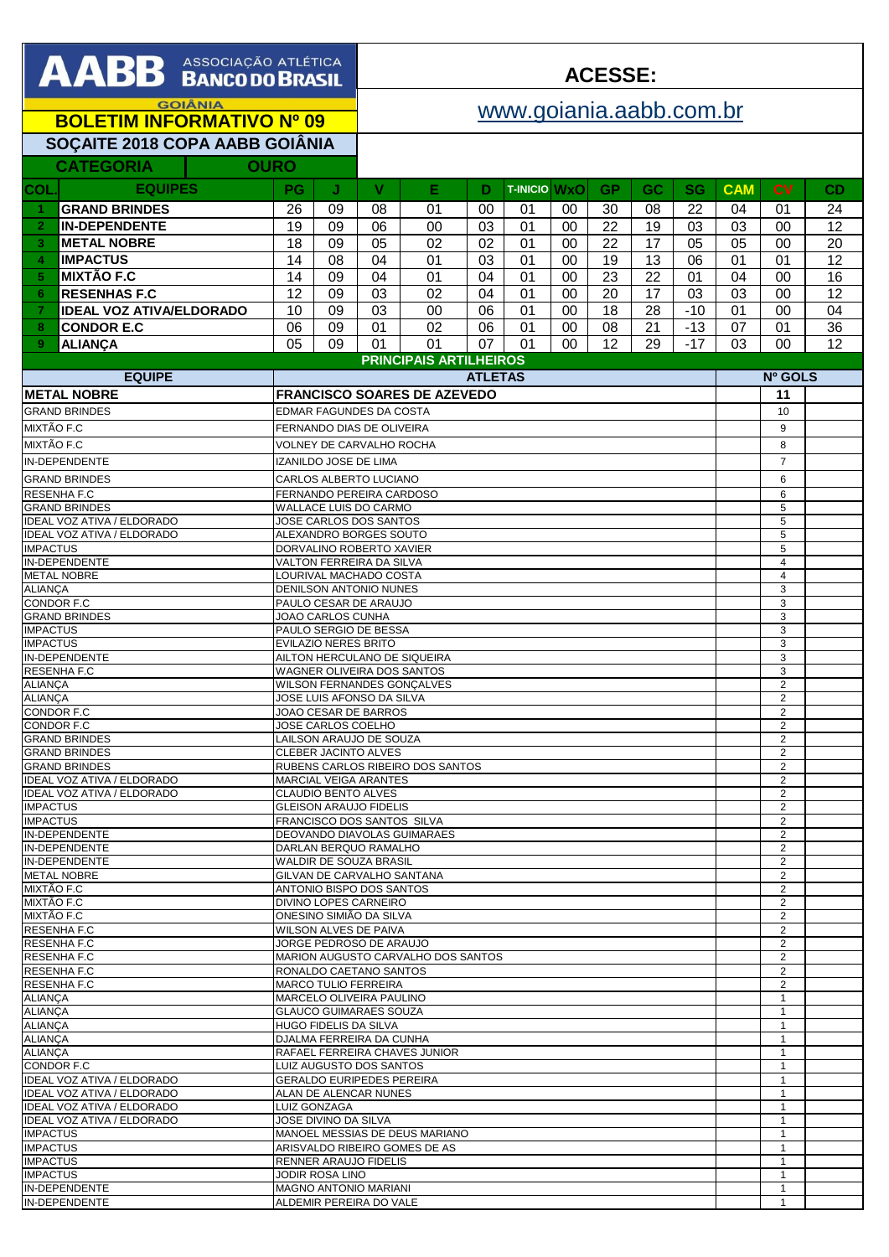| <b>AABB</b> ASSOCIAÇÃO ATLÉTICA                                                                         |                                                          |                                                               |                                                                 | <b>ACESSE:</b>                                            |                               |                |                     |          |                       |                 |           |                     |                     |                 |
|---------------------------------------------------------------------------------------------------------|----------------------------------------------------------|---------------------------------------------------------------|-----------------------------------------------------------------|-----------------------------------------------------------|-------------------------------|----------------|---------------------|----------|-----------------------|-----------------|-----------|---------------------|---------------------|-----------------|
| <b>GOIÂNIA</b>                                                                                          |                                                          |                                                               |                                                                 | www.goiania.aabb.com.br                                   |                               |                |                     |          |                       |                 |           |                     |                     |                 |
|                                                                                                         | <b>BOLETIM INFORMATIVO Nº 09</b>                         |                                                               |                                                                 |                                                           |                               |                |                     |          |                       |                 |           |                     |                     |                 |
| SOÇAITE 2018 COPA AABB GOIÂNIA<br><b>CATEGORIA</b><br><b>OURO</b>                                       |                                                          |                                                               |                                                                 |                                                           |                               |                |                     |          |                       |                 |           |                     |                     |                 |
| <b>COL</b>                                                                                              | <b>EQUIPES</b>                                           | <b>PG</b>                                                     | J                                                               | V                                                         | Е                             | D              | <b>T-INICIO WXO</b> |          | <b>GP</b>             | <b>GC</b>       | <b>SG</b> | <b>CAM</b>          | <b>CV</b>           | CD              |
| 1                                                                                                       | <b>GRAND BRINDES</b>                                     | 26                                                            | 09                                                              | 08                                                        | 01                            | 00             | 01                  | 00       | 30                    | 08              | 22        | 04                  | 01                  | 24              |
| $\overline{2}$                                                                                          | <b>IN-DEPENDENTE</b>                                     | 19                                                            | 09                                                              | 06                                                        | 00                            | 03             | 01                  | 00       | 22                    | 19              | 03        | 03                  | 00                  | 12              |
| 3                                                                                                       | <b>METAL NOBRE</b>                                       | 18                                                            | 09                                                              | $\overline{05}$                                           | 02                            | 02             | 01                  | 00       | 22                    | 17              | 05        | 05                  | 00                  | 20              |
| $\overline{4}$<br>5                                                                                     | <b>IMPACTUS</b><br><b>MIXTÃO F.C</b>                     | 14<br>14                                                      | 08<br>09                                                        | 04<br>04                                                  | 01<br>01                      | 03<br>04       | 01<br>01            | 00<br>00 | 19<br>$\overline{23}$ | 13<br>22        | 06<br>01  | 01<br>04            | 01<br>00            | 12<br>16        |
| 6                                                                                                       | <b>RESENHAS F.C</b>                                      | 12                                                            | 09                                                              | 03                                                        | 02                            | 04             | 01                  | 00       | 20                    | $\overline{17}$ | 03        | 03                  | 00                  | 12              |
| $\overline{7}$                                                                                          | <b>IDEAL VOZ ATIVA/ELDORADO</b>                          | 10                                                            | 09                                                              | 03                                                        | 00                            | 06             | 01                  | 00       | 18                    | 28              | $-10$     | 01                  | 00                  | 04              |
| 8                                                                                                       | <b>CONDOR E.C</b>                                        | 06                                                            | 09                                                              | 01                                                        | 02                            | 06             | 01                  | 00       | 08                    | 21              | $-13$     | 07                  | 01                  | $\overline{36}$ |
| 9                                                                                                       | <b>ALIANÇA</b>                                           | 05                                                            | 09                                                              | 01                                                        | 01                            | 07             | 01                  | $00\,$   | 12                    | 29              | $-17$     | 03                  | 00                  | 12              |
|                                                                                                         | <b>EQUIPE</b>                                            |                                                               |                                                                 |                                                           | <b>PRINCIPAIS ARTILHEIROS</b> | <b>ATLETAS</b> |                     |          |                       |                 |           |                     | Nº GOLS             |                 |
|                                                                                                         | <b>METAL NOBRE</b>                                       | <b>FRANCISCO SOARES DE AZEVEDO</b>                            |                                                                 |                                                           |                               |                |                     |          |                       |                 | 11        |                     |                     |                 |
|                                                                                                         | <b>GRAND BRINDES</b>                                     |                                                               |                                                                 | EDMAR FAGUNDES DA COSTA                                   |                               |                |                     |          |                       |                 |           |                     | 10                  |                 |
| <b>MIXTÃO F.C</b>                                                                                       |                                                          |                                                               |                                                                 | FERNANDO DIAS DE OLIVEIRA                                 |                               |                |                     |          |                       |                 |           |                     | 9                   |                 |
| <b>MIXTÃO F.C</b>                                                                                       |                                                          |                                                               |                                                                 | VOLNEY DE CARVALHO ROCHA                                  |                               |                |                     |          |                       |                 |           |                     | 8                   |                 |
|                                                                                                         | <b>IN-DEPENDENTE</b>                                     |                                                               | <b>IZANILDO JOSE DE LIMA</b>                                    |                                                           |                               |                |                     |          |                       |                 |           |                     | $\overline{7}$      |                 |
|                                                                                                         | <b>GRAND BRINDES</b><br><b>RESENHA F.C</b>               |                                                               |                                                                 | <b>CARLOS ALBERTO LUCIANO</b><br>FERNANDO PEREIRA CARDOSO |                               |                |                     |          |                       |                 |           |                     | 6<br>6              |                 |
|                                                                                                         | <b>GRAND BRINDES</b>                                     |                                                               |                                                                 | WALLACE LUIS DO CARMO                                     |                               |                |                     |          |                       |                 |           |                     | 5                   |                 |
|                                                                                                         | IDEAL VOZ ATIVA / ELDORADO<br>IDEAL VOZ ATIVA / ELDORADO |                                                               | JOSE CARLOS DOS SANTOS                                          |                                                           |                               |                |                     |          |                       |                 |           |                     | 5<br>5              |                 |
| <b>IMPACTUS</b>                                                                                         |                                                          | ALEXANDRO BORGES SOUTO<br>DORVALINO ROBERTO XAVIER            |                                                                 |                                                           |                               |                |                     |          |                       |                 |           | 5                   |                     |                 |
| IN-DEPENDENTE                                                                                           |                                                          |                                                               | VALTON FERREIRA DA SILVA                                        |                                                           |                               |                |                     |          |                       |                 |           |                     | 4                   |                 |
| <b>METAL NOBRE</b><br><b>ALIANÇA</b>                                                                    |                                                          |                                                               | LOURIVAL MACHADO COSTA<br>DENILSON ANTONIO NUNES                |                                                           |                               |                |                     |          |                       |                 |           |                     | $\overline{4}$<br>3 |                 |
| <b>CONDOR F.C</b>                                                                                       |                                                          |                                                               | PAULO CESAR DE ARAUJO                                           |                                                           |                               |                |                     |          |                       |                 |           | 3                   |                     |                 |
|                                                                                                         | <b>GRAND BRINDES</b>                                     | JOAO CARLOS CUNHA<br>PAULO SERGIO DE BESSA                    |                                                                 |                                                           |                               |                |                     |          |                       |                 |           | 3<br>3              |                     |                 |
| <b>IMPACTUS</b><br><b>IMPACTUS</b>                                                                      |                                                          | EVILAZIO NERES BRITO                                          |                                                                 |                                                           |                               |                |                     |          |                       |                 |           | 3                   |                     |                 |
| <b>RESENHAF.C</b>                                                                                       | IN-DEPENDENTE                                            | AILTON HERCULANO DE SIQUEIRA<br>WAGNER OLIVEIRA DOS SANTOS    |                                                                 |                                                           |                               |                |                     |          |                       |                 |           | 3<br>3              |                     |                 |
| <b>ALIANÇA</b>                                                                                          |                                                          | <b>WILSON FERNANDES GONÇALVES</b>                             |                                                                 |                                                           |                               |                |                     |          |                       |                 |           | $\overline{2}$      |                     |                 |
| <b>ALIANÇA</b><br><b>CONDOR F.C.</b>                                                                    |                                                          | JOSE LUIS AFONSO DA SILVA                                     |                                                                 |                                                           |                               |                |                     |          |                       |                 |           | $\overline{2}$      |                     |                 |
| <b>CONDOR F.C</b>                                                                                       |                                                          | JOAO CESAR DE BARROS<br>JOSE CARLOS COELHO                    |                                                                 |                                                           |                               |                |                     |          |                       |                 |           | 2<br>$\overline{2}$ |                     |                 |
|                                                                                                         | <b>GRAND BRINDES</b>                                     | LAILSON ARAUJO DE SOUZA                                       |                                                                 |                                                           |                               |                |                     |          |                       |                 |           | $\overline{2}$      |                     |                 |
|                                                                                                         | <b>GRAND BRINDES</b><br><b>GRAND BRINDES</b>             | CLEBER JACINTO ALVES<br>RUBENS CARLOS RIBEIRO DOS SANTOS      |                                                                 |                                                           |                               |                |                     |          |                       |                 |           | 2<br>$\overline{2}$ |                     |                 |
|                                                                                                         | <b>IDEAL VOZ ATIVA / ELDORADO</b>                        | MARCIAL VEIGA ARANTES                                         |                                                                 |                                                           |                               |                |                     |          |                       |                 |           | $\overline{2}$      |                     |                 |
| <b>IDEAL VOZ ATIVA / ELDORADO</b><br><b>IMPACTUS</b>                                                    |                                                          |                                                               | CLAUDIO BENTO ALVES<br><b>GLEISON ARAUJO FIDELIS</b>            |                                                           |                               |                |                     |          |                       |                 |           |                     | $\overline{2}$<br>2 |                 |
| <b>IMPACTUS</b>                                                                                         |                                                          | FRANCISCO DOS SANTOS SILVA                                    |                                                                 |                                                           |                               |                |                     |          |                       |                 |           | 2                   |                     |                 |
|                                                                                                         | IN-DEPENDENTE                                            | DEOVANDO DIAVOLAS GUIMARAES<br>DARLAN BERQUO RAMALHO          |                                                                 |                                                           |                               |                |                     |          |                       |                 |           | 2                   |                     |                 |
|                                                                                                         | IN-DEPENDENTE<br>IN-DEPENDENTE                           | WALDIR DE SOUZA BRASIL                                        |                                                                 |                                                           |                               |                |                     |          |                       |                 |           | 2<br>2              |                     |                 |
| <b>METAL NOBRE</b>                                                                                      |                                                          | GILVAN DE CARVALHO SANTANA                                    |                                                                 |                                                           |                               |                |                     |          |                       |                 |           | 2                   |                     |                 |
| MIXTÃO F.C<br><b>MIXTÃO F.C</b>                                                                         |                                                          | ANTONIO BISPO DOS SANTOS<br>DIVINO LOPES CARNEIRO             |                                                                 |                                                           |                               |                |                     |          |                       |                 |           | 2<br>2              |                     |                 |
| MIXTÃO F.C                                                                                              |                                                          | ONESINO SIMIÃO DA SILVA                                       |                                                                 |                                                           |                               |                |                     |          |                       |                 |           | 2                   |                     |                 |
| <b>RESENHA F.C</b><br><b>RESENHA F.C</b>                                                                |                                                          | WILSON ALVES DE PAIVA                                         |                                                                 |                                                           |                               |                |                     |          |                       |                 |           | 2<br>2              |                     |                 |
| <b>RESENHAF.C</b>                                                                                       |                                                          | JORGE PEDROSO DE ARAUJO<br>MARION AUGUSTO CARVALHO DOS SANTOS |                                                                 |                                                           |                               |                |                     |          |                       |                 |           | 2                   |                     |                 |
| <b>RESENHA F.C</b>                                                                                      |                                                          | RONALDO CAETANO SANTOS                                        |                                                                 |                                                           |                               |                |                     |          |                       |                 |           | 2                   |                     |                 |
| <b>RESENHAF.C</b><br><b>ALIANCA</b>                                                                     |                                                          | <b>MARCO TULIO FERREIRA</b><br>MARCELO OLIVEIRA PAULINO       |                                                                 |                                                           |                               |                |                     |          |                       |                 |           | 2<br>$\mathbf 1$    |                     |                 |
| <b>ALIANCA</b>                                                                                          |                                                          | <b>GLAUCO GUIMARAES SOUZA</b>                                 |                                                                 |                                                           |                               |                |                     |          |                       |                 |           | $\mathbf{1}$        |                     |                 |
| <b>ALIANÇA</b><br><b>ALIANCA</b>                                                                        |                                                          |                                                               | HUGO FIDELIS DA SILVA<br>DJALMA FERREIRA DA CUNHA               |                                                           |                               |                |                     |          |                       |                 |           |                     | $\mathbf{1}$<br>1   |                 |
| <b>ALIANÇA</b>                                                                                          |                                                          |                                                               | RAFAEL FERREIRA CHAVES JUNIOR                                   |                                                           |                               |                |                     |          |                       |                 |           |                     |                     |                 |
| CONDOR F.C<br>LUIZ AUGUSTO DOS SANTOS<br>IDEAL VOZ ATIVA / ELDORADO<br><b>GERALDO EURIPEDES PEREIRA</b> |                                                          |                                                               |                                                                 |                                                           |                               |                |                     |          |                       |                 |           |                     |                     |                 |
| IDEAL VOZ ATIVA / ELDORADO<br>ALAN DE ALENCAR NUNES                                                     |                                                          |                                                               |                                                                 |                                                           |                               |                |                     |          |                       |                 |           |                     |                     |                 |
| IDEAL VOZ ATIVA / ELDORADO                                                                              |                                                          |                                                               | LUIZ GONZAGA<br>JOSE DIVINO DA SILVA                            |                                                           |                               |                |                     |          |                       |                 |           |                     |                     |                 |
| IDEAL VOZ ATIVA / ELDORADO<br><b>IMPACTUS</b>                                                           |                                                          |                                                               |                                                                 |                                                           |                               |                |                     |          |                       |                 |           |                     | 1                   |                 |
| <b>IMPACTUS</b>                                                                                         |                                                          |                                                               | MANOEL MESSIAS DE DEUS MARIANO<br>ARISVALDO RIBEIRO GOMES DE AS |                                                           |                               |                |                     |          |                       |                 |           | -1                  |                     |                 |
| <b>IMPACTUS</b><br><b>IMPACTUS</b>                                                                      |                                                          |                                                               | RENNER ARAUJO FIDELIS<br>$\mathbf{1}$<br>JODIR ROSA LINO        |                                                           |                               |                |                     |          |                       |                 |           | -1                  |                     |                 |
| IN-DEPENDENTE                                                                                           |                                                          |                                                               |                                                                 |                                                           |                               |                |                     |          |                       |                 |           |                     | $\mathbf{1}$        |                 |
| IN-DEPENDENTE                                                                                           |                                                          |                                                               | <b>MAGNO ANTONIO MARIANI</b><br>ALDEMIR PEREIRA DO VALE         |                                                           |                               |                |                     |          |                       |                 |           |                     | $\mathbf{1}$        |                 |